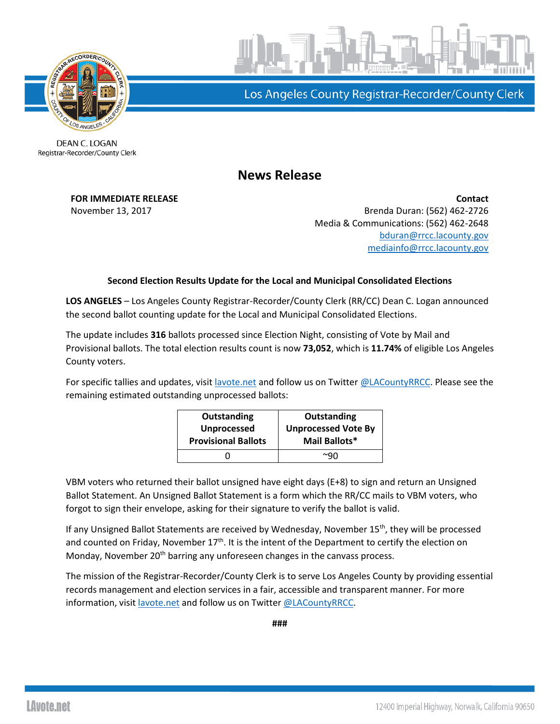

Los Angeles County Registrar-Recorder/County Clerk

**DEAN C. LOGAN** Registrar-Recorder/County Clerk

## **News Release**

**FOR IMMEDIATE RELEASE Contact** November 13, 2017 **Brenda Duran: (562)** 462-2726 Media & Communications: (562) 462-2648 [bduran@rrcc.lacounty.gov](mailto:bduran@rrcc.lacounty.gov) [mediainfo@rrcc.lacounty.gov](mailto:mediainfo@rrcc.lacounty.gov)

## **Second Election Results Update for the Local and Municipal Consolidated Elections**

**LOS ANGELES** – Los Angeles County Registrar-Recorder/County Clerk (RR/CC) Dean C. Logan announced the second ballot counting update for the Local and Municipal Consolidated Elections.

The update includes **316** ballots processed since Election Night, consisting of Vote by Mail and Provisional ballots. The total election results count is now **73,052**, which is **11.74%** of eligible Los Angeles County voters.

For specific tallies and updates, visit [lavote.net](http://www.lavote.net/home/voting-elections/current-elections/election-results/certifying-results) and follow us on Twitter [@LACountyRRCC.](https://www.twitter.com/lacountyrrcc) Please see the remaining estimated outstanding unprocessed ballots:

| <b>Outstanding</b><br><b>Unprocessed</b><br><b>Provisional Ballots</b> | Outstanding<br><b>Unprocessed Vote By</b><br>Mail Ballots* |
|------------------------------------------------------------------------|------------------------------------------------------------|
|                                                                        |                                                            |
|                                                                        | $\sim$ q $\sim$                                            |

VBM voters who returned their ballot unsigned have eight days (E+8) to sign and return an Unsigned Ballot Statement. An Unsigned Ballot Statement is a form which the RR/CC mails to VBM voters, who forgot to sign their envelope, asking for their signature to verify the ballot is valid.

If any Unsigned Ballot Statements are received by Wednesday, November 15<sup>th</sup>, they will be processed and counted on Friday, November 17<sup>th</sup>. It is the intent of the Department to certify the election on Monday, November  $20<sup>th</sup>$  barring any unforeseen changes in the canvass process.

The mission of the Registrar-Recorder/County Clerk is to serve Los Angeles County by providing essential records management and election services in a fair, accessible and transparent manner. For more information, visit [lavote.net](file://///sfile2/Governmental%20&%20Legislative%20Affairs/Media/Media%20Relations/Press%20Releases/Press%20Release%20Templates/lavote.net) and follow us on Twitter [@LACountyRRCC.](https://twitter.com/LACountyRRCC)

**###**